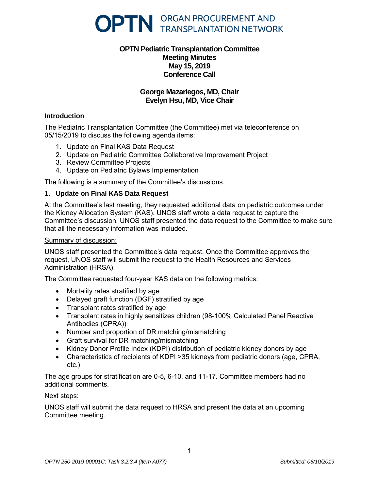

# **OPTN Pediatric Transplantation Committee Meeting Minutes May 15, 2019 Conference Call**

# **George Mazariegos, MD, Chair Evelyn Hsu, MD, Vice Chair**

#### **Introduction**

The Pediatric Transplantation Committee (the Committee) met via teleconference on 05/15/2019 to discuss the following agenda items:

- 1. Update on Final KAS Data Request
- 2. Update on Pediatric Committee Collaborative Improvement Project
- 3. Review Committee Projects
- 4. Update on Pediatric Bylaws Implementation

The following is a summary of the Committee's discussions.

## **1. Update on Final KAS Data Request**

At the Committee's last meeting, they requested additional data on pediatric outcomes under the Kidney Allocation System (KAS). UNOS staff wrote a data request to capture the Committee's discussion. UNOS staff presented the data request to the Committee to make sure that all the necessary information was included.

#### Summary of discussion:

UNOS staff presented the Committee's data request. Once the Committee approves the request, UNOS staff will submit the request to the Health Resources and Services Administration (HRSA).

The Committee requested four-year KAS data on the following metrics:

- Mortality rates stratified by age
- Delayed graft function (DGF) stratified by age
- Transplant rates stratified by age
- Transplant rates in highly sensitizes children (98-100% Calculated Panel Reactive Antibodies (CPRA))
- Number and proportion of DR matching/mismatching
- Graft survival for DR matching/mismatching
- Kidney Donor Profile Index (KDPI) distribution of pediatric kidney donors by age
- Characteristics of recipients of KDPI >35 kidneys from pediatric donors (age, CPRA, etc.)

The age groups for stratification are 0-5, 6-10, and 11-17. Committee members had no additional comments.

#### Next steps:

UNOS staff will submit the data request to HRSA and present the data at an upcoming Committee meeting.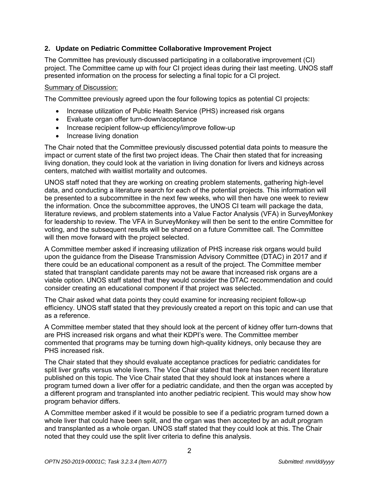# **2. Update on Pediatric Committee Collaborative Improvement Project**

The Committee has previously discussed participating in a collaborative improvement (CI) project. The Committee came up with four CI project ideas during their last meeting. UNOS staff presented information on the process for selecting a final topic for a CI project.

#### Summary of Discussion:

The Committee previously agreed upon the four following topics as potential CI projects:

- Increase utilization of Public Health Service (PHS) increased risk organs
- Evaluate organ offer turn-down/acceptance
- Increase recipient follow-up efficiency/improve follow-up
- Increase living donation

The Chair noted that the Committee previously discussed potential data points to measure the impact or current state of the first two project ideas. The Chair then stated that for increasing living donation, they could look at the variation in living donation for livers and kidneys across centers, matched with waitlist mortality and outcomes.

UNOS staff noted that they are working on creating problem statements, gathering high-level data, and conducting a literature search for each of the potential projects. This information will be presented to a subcommittee in the next few weeks, who will then have one week to review the information. Once the subcommittee approves, the UNOS CI team will package the data, literature reviews, and problem statements into a Value Factor Analysis (VFA) in SurveyMonkey for leadership to review. The VFA in SurveyMonkey will then be sent to the entire Committee for voting, and the subsequent results will be shared on a future Committee call. The Committee will then move forward with the project selected.

A Committee member asked if increasing utilization of PHS increase risk organs would build upon the guidance from the Disease Transmission Advisory Committee (DTAC) in 2017 and if there could be an educational component as a result of the project. The Committee member stated that transplant candidate parents may not be aware that increased risk organs are a viable option. UNOS staff stated that they would consider the DTAC recommendation and could consider creating an educational component if that project was selected.

The Chair asked what data points they could examine for increasing recipient follow-up efficiency. UNOS staff stated that they previously created a report on this topic and can use that as a reference.

A Committee member stated that they should look at the percent of kidney offer turn-downs that are PHS increased risk organs and what their KDPI's were. The Committee member commented that programs may be turning down high-quality kidneys, only because they are PHS increased risk.

The Chair stated that they should evaluate acceptance practices for pediatric candidates for split liver grafts versus whole livers. The Vice Chair stated that there has been recent literature published on this topic. The Vice Chair stated that they should look at instances where a program turned down a liver offer for a pediatric candidate, and then the organ was accepted by a different program and transplanted into another pediatric recipient. This would may show how program behavior differs.

A Committee member asked if it would be possible to see if a pediatric program turned down a whole liver that could have been split, and the organ was then accepted by an adult program and transplanted as a whole organ. UNOS staff stated that they could look at this. The Chair noted that they could use the split liver criteria to define this analysis.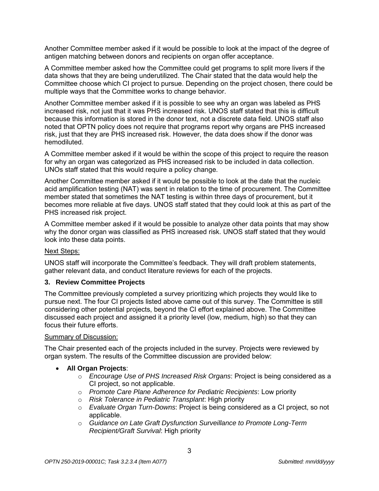Another Committee member asked if it would be possible to look at the impact of the degree of antigen matching between donors and recipients on organ offer acceptance.

A Committee member asked how the Committee could get programs to split more livers if the data shows that they are being underutilized. The Chair stated that the data would help the Committee choose which CI project to pursue. Depending on the project chosen, there could be multiple ways that the Committee works to change behavior.

Another Committee member asked if it is possible to see why an organ was labeled as PHS increased risk, not just that it was PHS increased risk. UNOS staff stated that this is difficult because this information is stored in the donor text, not a discrete data field. UNOS staff also noted that OPTN policy does not require that programs report why organs are PHS increased risk, just that they are PHS increased risk. However, the data does show if the donor was hemodiluted.

A Committee member asked if it would be within the scope of this project to require the reason for why an organ was categorized as PHS increased risk to be included in data collection. UNOs staff stated that this would require a policy change.

Another Committee member asked if it would be possible to look at the date that the nucleic acid amplification testing (NAT) was sent in relation to the time of procurement. The Committee member stated that sometimes the NAT testing is within three days of procurement, but it becomes more reliable at five days. UNOS staff stated that they could look at this as part of the PHS increased risk project.

A Committee member asked if it would be possible to analyze other data points that may show why the donor organ was classified as PHS increased risk. UNOS staff stated that they would look into these data points.

## Next Steps:

UNOS staff will incorporate the Committee's feedback. They will draft problem statements, gather relevant data, and conduct literature reviews for each of the projects.

## **3. Review Committee Projects**

The Committee previously completed a survey prioritizing which projects they would like to pursue next. The four CI projects listed above came out of this survey. The Committee is still considering other potential projects, beyond the CI effort explained above. The Committee discussed each project and assigned it a priority level (low, medium, high) so that they can focus their future efforts.

#### Summary of Discussion:

The Chair presented each of the projects included in the survey. Projects were reviewed by organ system. The results of the Committee discussion are provided below:

- **All Organ Projects**:
	- o *Encourage Use of PHS Increased Risk Organs*: Project is being considered as a CI project, so not applicable.
	- o *Promote Care Plane Adherence for Pediatric Recipients*: Low priority
	- o *Risk Tolerance in Pediatric Transplant*: High priority
	- o *Evaluate Organ Turn-Downs*: Project is being considered as a CI project, so not applicable.
	- o *Guidance on Late Graft Dysfunction Surveillance to Promote Long-Term Recipient/Graft Survival*: High priority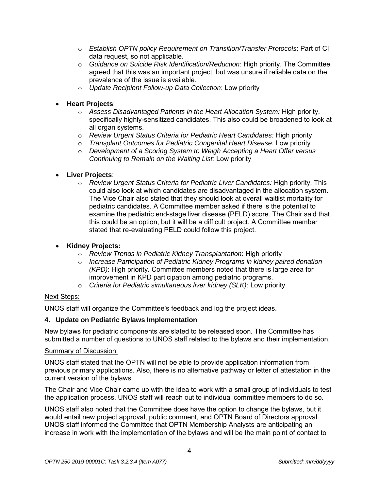- o *Establish OPTN policy Requirement on Transition/Transfer Protocols*: Part of CI data request, so not applicable.
- o *Guidance on Suicide Risk Identification/Reduction*: High priority. The Committee agreed that this was an important project, but was unsure if reliable data on the prevalence of the issue is available.
- o *Update Recipient Follow-up Data Collection*: Low priority
- **Heart Projects**:
	- o *Assess Disadvantaged Patients in the Heart Allocation System:* High priority, specifically highly-sensitized candidates. This also could be broadened to look at all organ systems.
	- o *Review Urgent Status Criteria for Pediatric Heart Candidates:* High priority
	- o *Transplant Outcomes for Pediatric Congenital Heart Disease:* Low priority
	- o *Development of a Scoring System to Weigh Accepting a Heart Offer versus Continuing to Remain on the Waiting List:* Low priority
- **Liver Projects**:
	- o *Review Urgent Status Criteria for Pediatric Liver Candidates:* High priority. This could also look at which candidates are disadvantaged in the allocation system. The Vice Chair also stated that they should look at overall waitlist mortality for pediatric candidates. A Committee member asked if there is the potential to examine the pediatric end-stage liver disease (PELD) score. The Chair said that this could be an option, but it will be a difficult project. A Committee member stated that re-evaluating PELD could follow this project.
- **Kidney Projects:**
	- o *Review Trends in Pediatric Kidney Transplantation*: High priority
	- o *Increase Participation of Pediatric Kidney Programs in kidney paired donation (KPD)*: High priority*.* Committee members noted that there is large area for improvement in KPD participation among pediatric programs.
	- o *Criteria for Pediatric simultaneous liver kidney (SLK)*: Low priority

## Next Steps:

UNOS staff will organize the Committee's feedback and log the project ideas.

## **4. Update on Pediatric Bylaws Implementation**

New bylaws for pediatric components are slated to be released soon. The Committee has submitted a number of questions to UNOS staff related to the bylaws and their implementation.

## Summary of Discussion:

UNOS staff stated that the OPTN will not be able to provide application information from previous primary applications. Also, there is no alternative pathway or letter of attestation in the current version of the bylaws.

The Chair and Vice Chair came up with the idea to work with a small group of individuals to test the application process. UNOS staff will reach out to individual committee members to do so.

UNOS staff also noted that the Committee does have the option to change the bylaws, but it would entail new project approval, public comment, and OPTN Board of Directors approval. UNOS staff informed the Committee that OPTN Membership Analysts are anticipating an increase in work with the implementation of the bylaws and will be the main point of contact to